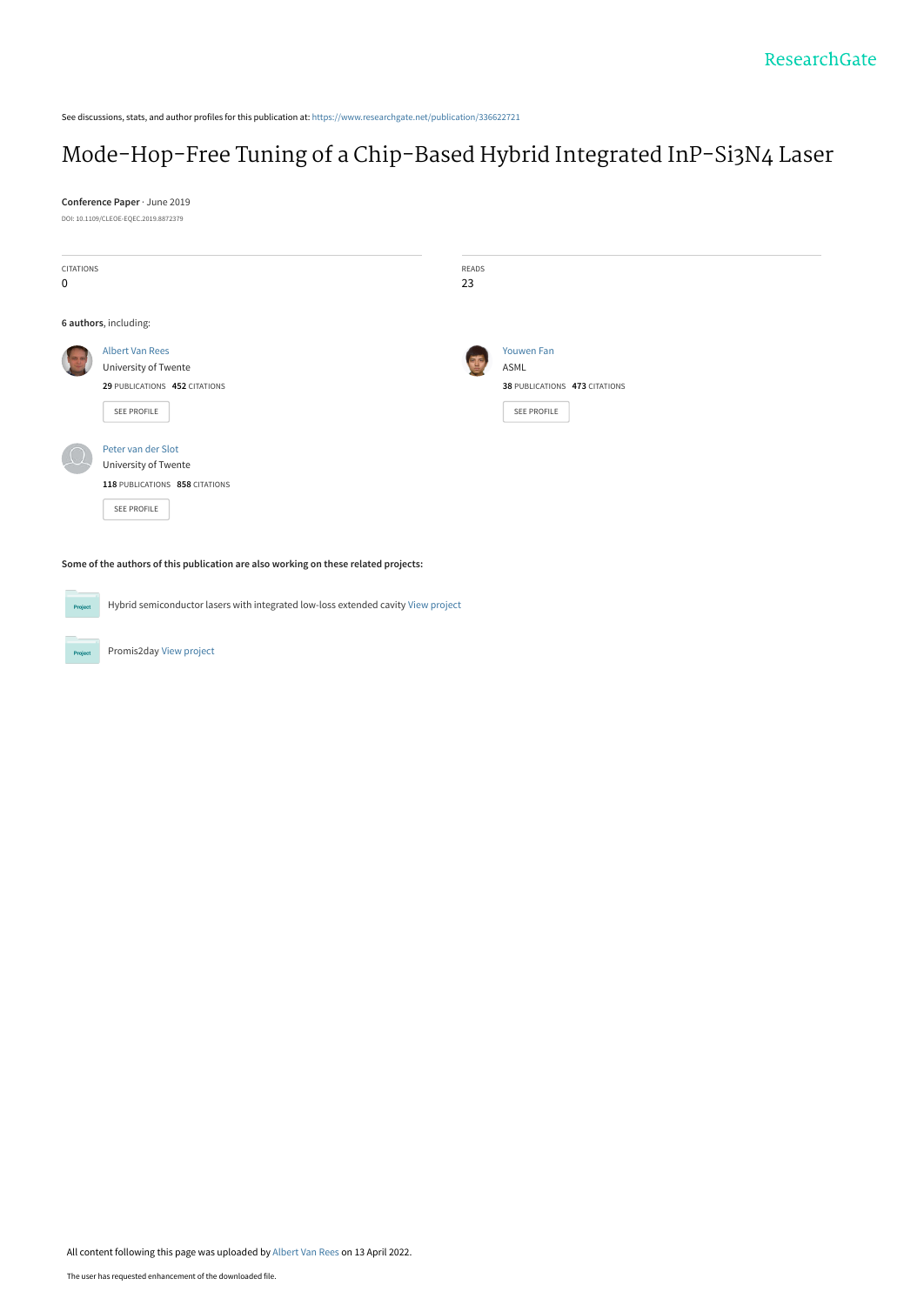See discussions, stats, and author profiles for this publication at: [https://www.researchgate.net/publication/336622721](https://www.researchgate.net/publication/336622721_Mode-Hop-Free_Tuning_of_a_Chip-Based_Hybrid_Integrated_InP-Si3N4_Laser?enrichId=rgreq-cd23318938dd983b47c93516c935d146-XXX&enrichSource=Y292ZXJQYWdlOzMzNjYyMjcyMTtBUzoxMTQ0NDY3MzY1MDc2OTkyQDE2NDk4NzM2OTEwMjY%3D&el=1_x_2&_esc=publicationCoverPdf)

## [Mode-Hop-Free Tuning of a Chip-Based Hybrid Integrated InP-Si3N4 Laser](https://www.researchgate.net/publication/336622721_Mode-Hop-Free_Tuning_of_a_Chip-Based_Hybrid_Integrated_InP-Si3N4_Laser?enrichId=rgreq-cd23318938dd983b47c93516c935d146-XXX&enrichSource=Y292ZXJQYWdlOzMzNjYyMjcyMTtBUzoxMTQ0NDY3MzY1MDc2OTkyQDE2NDk4NzM2OTEwMjY%3D&el=1_x_3&_esc=publicationCoverPdf)

**Conference Paper** · June 2019 DOI: 10.1109/CLEOE-EQEC.2019.8872379

| CITATIONS<br>$\pmb{0}$ |                                | READS<br>23 |                               |
|------------------------|--------------------------------|-------------|-------------------------------|
|                        |                                |             |                               |
| 6 authors, including:  |                                |             |                               |
|                        | <b>Albert Van Rees</b>         |             | <b>Youwen Fan</b>             |
|                        | University of Twente           | TH,         | ASML                          |
|                        | 29 PUBLICATIONS 452 CITATIONS  |             | 38 PUBLICATIONS 473 CITATIONS |
|                        | SEE PROFILE                    |             | SEE PROFILE                   |
|                        | Peter van der Slot             |             |                               |
|                        | University of Twente           |             |                               |
|                        | 118 PUBLICATIONS 858 CITATIONS |             |                               |
|                        | SEE PROFILE                    |             |                               |

**Some of the authors of this publication are also working on these related projects:**

Hybrid semiconductor lasers with integrated low-loss extended cavity [View project](https://www.researchgate.net/project/Hybrid-semiconductor-lasers-with-integrated-low-loss-extended-cavity?enrichId=rgreq-cd23318938dd983b47c93516c935d146-XXX&enrichSource=Y292ZXJQYWdlOzMzNjYyMjcyMTtBUzoxMTQ0NDY3MzY1MDc2OTkyQDE2NDk4NzM2OTEwMjY%3D&el=1_x_9&_esc=publicationCoverPdf) **Project** 

Promis2day [View project](https://www.researchgate.net/project/Promis2day?enrichId=rgreq-cd23318938dd983b47c93516c935d146-XXX&enrichSource=Y292ZXJQYWdlOzMzNjYyMjcyMTtBUzoxMTQ0NDY3MzY1MDc2OTkyQDE2NDk4NzM2OTEwMjY%3D&el=1_x_9&_esc=publicationCoverPdf)

Project